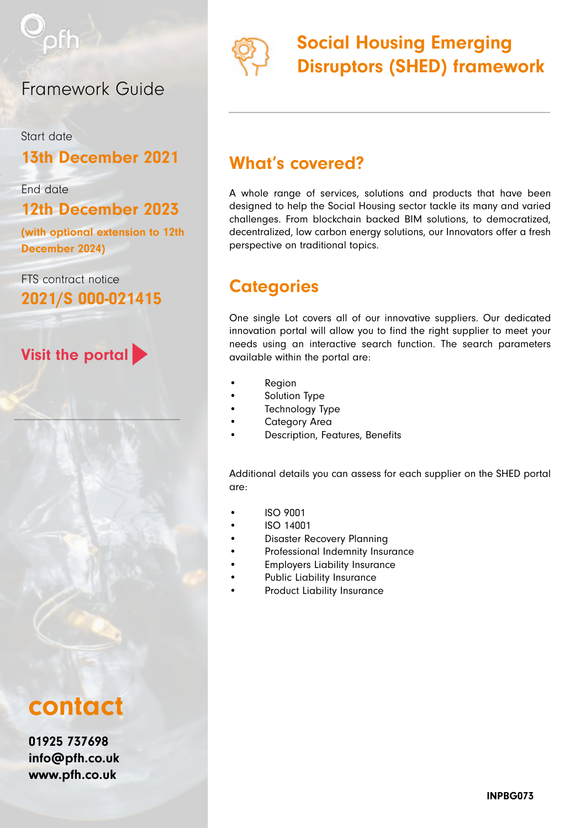

### Framework Guide

Start date

### 13th December 2021

End date

12th December 2023

(with optional extension to 12th December 2024)

FTS contract notice 2021/S 000-021415

### Visit the portal

# contact

01925 737698 [info@pfh.co.uk](mailto:info%40pfh.co.uk?subject=) [www.pfh.co.uk](http://www.pfh.co.uk)



## Social Housing Emerging Disruptors (SHED) framework

### What's covered?

A whole range of services, solutions and products that have been designed to help the Social Housing sector tackle its many and varied challenges. From blockchain backed BIM solutions, to democratized, decentralized, low carbon energy solutions, our Innovators offer a fresh perspective on traditional topics.

### **Categories**

One single Lot covers all of our innovative suppliers. Our dedicated innovation portal will allow you to find the right supplier to meet your needs using an interactive search function. The search parameters available within the portal are:

- **Region**
- Solution Type
- Technology Type
- Category Area
- Description, Features, Benefits

Additional details you can assess for each supplier on the SHED portal are:

- ISO 9001
- ISO 14001
- Disaster Recovery Planning
- Professional Indemnity Insurance
- Employers Liability Insurance
- Public Liability Insurance
- Product Liability Insurance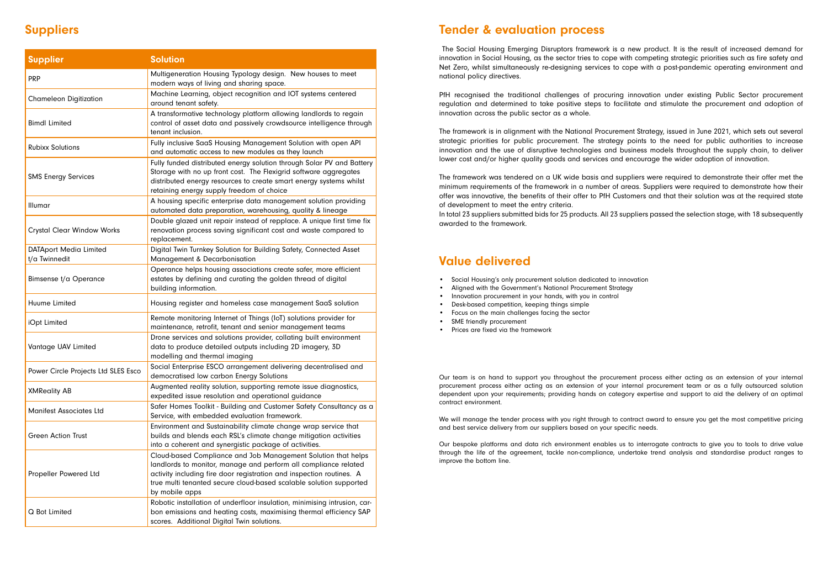### Suppliers Tender & evaluation process

 The Social Housing Emerging Disruptors framework is a new product. It is the result of increased demand for innovation in Social Housing, as the sector tries to cope with competing strategic priorities such as fire safety and Net Zero, whilst simultaneously re-designing services to cope with a post-pandemic operating environment and national policy directives.

PfH recognised the traditional challenges of procuring innovation under existing Public Sector procurement regulation and determined to take positive steps to facilitate and stimulate the procurement and adoption of innovation across the public sector as a whole.

The framework is in alignment with the National Procurement Strategy, issued in June 2021, which sets out several strategic priorities for public procurement. The strategy points to the need for public authorities to increase innovation and the use of disruptive technologies and business models throughout the supply chain, to deliver lower cost and/or higher quality goods and services and encourage the wider adoption of innovation.

The framework was tendered on a UK wide basis and suppliers were required to demonstrate their offer met the minimum requirements of the framework in a number of areas. Suppliers were required to demonstrate how their offer was innovative, the benefits of their offer to PfH Customers and that their solution was at the required state of development to meet the entry criteria.

In total 23 suppliers submitted bids for 25 products. All 23 suppliers passed the selection stage, with 18 subsequently awarded to the framework.

### Value delivered

- Social Housing's only procurement solution dedicated to innovation
- Aligned with the Government's National Procurement Strategy
- Innovation procurement in your hands, with you in control
- Desk-based competition, keeping things simple
- Focus on the main challenges facing the sector
- SME friendly procurement
- Prices are fixed via the framework

Our team is on hand to support you throughout the procurement process either acting as an extension of your internal procurement process either acting as an extension of your internal procurement team or as a fully outsourced solution dependent upon your requirements; providing hands on category expertise and support to aid the delivery of an optimal contract environment.

We will manage the tender process with you right through to contract award to ensure you get the most competitive pricing and best service delivery from our suppliers based on your specific needs.

Our bespoke platforms and data rich environment enables us to interrogate contracts to give you to tools to drive value through the life of the agreement, tackle non-compliance, undertake trend analysis and standardise product ranges to improve the bottom line.

| <b>Supplier</b>                                | <b>Solution</b>                                                                                                                                                                                                                                                                                  |
|------------------------------------------------|--------------------------------------------------------------------------------------------------------------------------------------------------------------------------------------------------------------------------------------------------------------------------------------------------|
| <b>PRP</b>                                     | Multigeneration Housing Typology design. New houses to meet<br>modern ways of living and sharing space.                                                                                                                                                                                          |
| <b>Chameleon Digitization</b>                  | Machine Learning, object recognition and IOT systems centered<br>around tenant safety.                                                                                                                                                                                                           |
| <b>Bimdl Limited</b>                           | A transformative technology platform allowing landlords to regain<br>control of asset data and passively crowdsource intelligence through<br>tenant inclusion.                                                                                                                                   |
| <b>Rubixx Solutions</b>                        | Fully inclusive SaaS Housing Management Solution with open API<br>and automatic access to new modules as they launch                                                                                                                                                                             |
| <b>SMS Energy Services</b>                     | Fully funded distributed energy solution through Solar PV and Battery<br>Storage with no up front cost. The Flexigrid software aggregates<br>distributed energy resources to create smart energy systems whilst<br>retaining energy supply freedom of choice                                     |
| Illumar                                        | A housing specific enterprise data management solution providing<br>automated data preparation, warehousing, quality & lineage                                                                                                                                                                   |
| <b>Crystal Clear Window Works</b>              | Double glazed unit repair instead of repplace. A unique first time fix<br>renovation process saving significant cost and waste compared to<br>replacement.                                                                                                                                       |
| <b>DATAport Media Limited</b><br>t/a Twinnedit | Digital Twin Turnkey Solution for Building Safety, Connected Asset<br>Management & Decarbonisation                                                                                                                                                                                               |
| <b>Bimsense t/a Operance</b>                   | Operance helps housing associations create safer, more efficient<br>estates by defining and curating the golden thread of digital<br>building information.                                                                                                                                       |
| Huume Limited                                  | Housing register and homeless case management SaaS solution                                                                                                                                                                                                                                      |
| iOpt Limited                                   | Remote monitoring Internet of Things (IoT) solutions provider for<br>maintenance, retrofit, tenant and senior management teams                                                                                                                                                                   |
| Vantage UAV Limited                            | Drone services and solutions provider, collating built environment<br>data to produce detailed outputs including 2D imagery, 3D<br>modelling and thermal imaging                                                                                                                                 |
| Power Circle Projects Ltd SLES Esco            | Social Enterprise ESCO arrangement delivering decentralised and<br>democratised low carbon Energy Solutions                                                                                                                                                                                      |
| <b>XMReality AB</b>                            | Augmented reality solution, supporting remote issue diagnostics,<br>expedited issue resolution and operational guidance                                                                                                                                                                          |
| <b>Manifest Associates Ltd</b>                 | Safer Homes Toolkit - Building and Customer Safety Consultancy as a<br>Service, with embedded evaluation framework.                                                                                                                                                                              |
| <b>Green Action Trust</b>                      | Environment and Sustainability climate change wrap service that<br>builds and blends each RSL's climate change mitigation activities<br>into a coherent and synergistic package of activities.                                                                                                   |
| Propeller Powered Ltd                          | Cloud-based Compliance and Job Management Solution that helps<br>landlords to monitor, manage and perform all compliance related<br>activity including fire door registration and inspection routines. A<br>true multi tenanted secure cloud-based scalable solution supported<br>by mobile apps |
| Q Bot Limited                                  | Robotic installation of underfloor insulation, minimising intrusion, car-<br>bon emissions and heating costs, maximising thermal efficiency SAP<br>scores. Additional Digital Twin solutions.                                                                                                    |